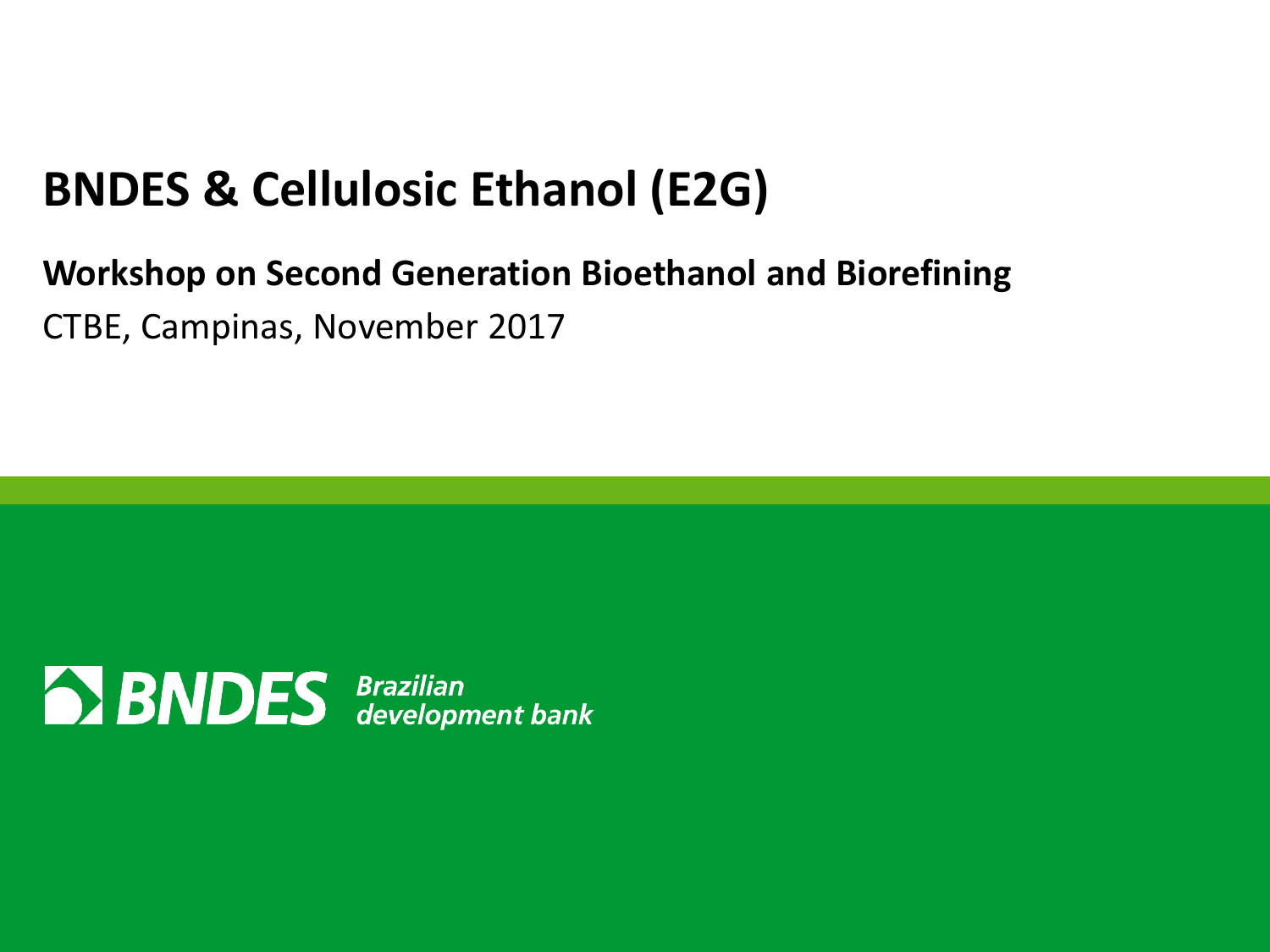## **BNDES & Cellulosic Ethanol (E2G)**

#### **Workshop on Second Generation Bioethanol and Biorefining** CTBE, Campinas, November 2017

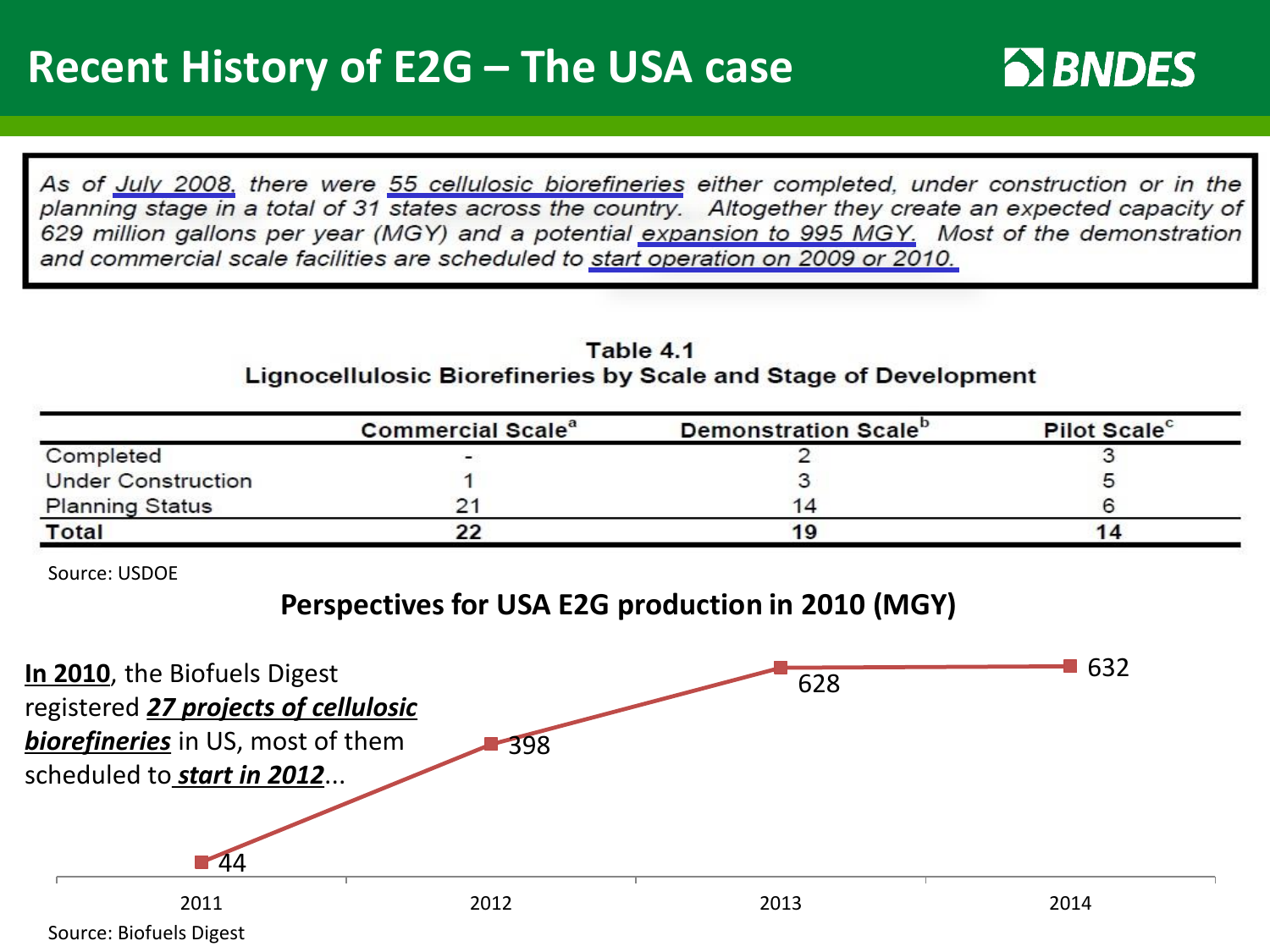As of July 2008, there were 55 cellulosic biorefineries either completed, under construction or in the planning stage in a total of 31 states across the country. Altogether they create an expected capacity of 629 million gallons per year (MGY) and a potential expansion to 995 MGY. Most of the demonstration and commercial scale facilities are scheduled to start operation on 2009 or 2010.

#### Table 4.1 Lignocellulosic Biorefineries by Scale and Stage of Development

|                           | <b>Commercial Scale<sup>a</sup></b> | Demonstration Scale <sup>o</sup> | Pilot Scale <sup>c</sup> |
|---------------------------|-------------------------------------|----------------------------------|--------------------------|
| Completed                 | $\overline{\phantom{0}}$            |                                  |                          |
| <b>Under Construction</b> |                                     |                                  |                          |
| <b>Planning Status</b>    |                                     | 14                               |                          |
| <b>Total</b>              |                                     |                                  |                          |

Source: USDOE

#### **Perspectives for USA E2G production in 2010 (MGY)**

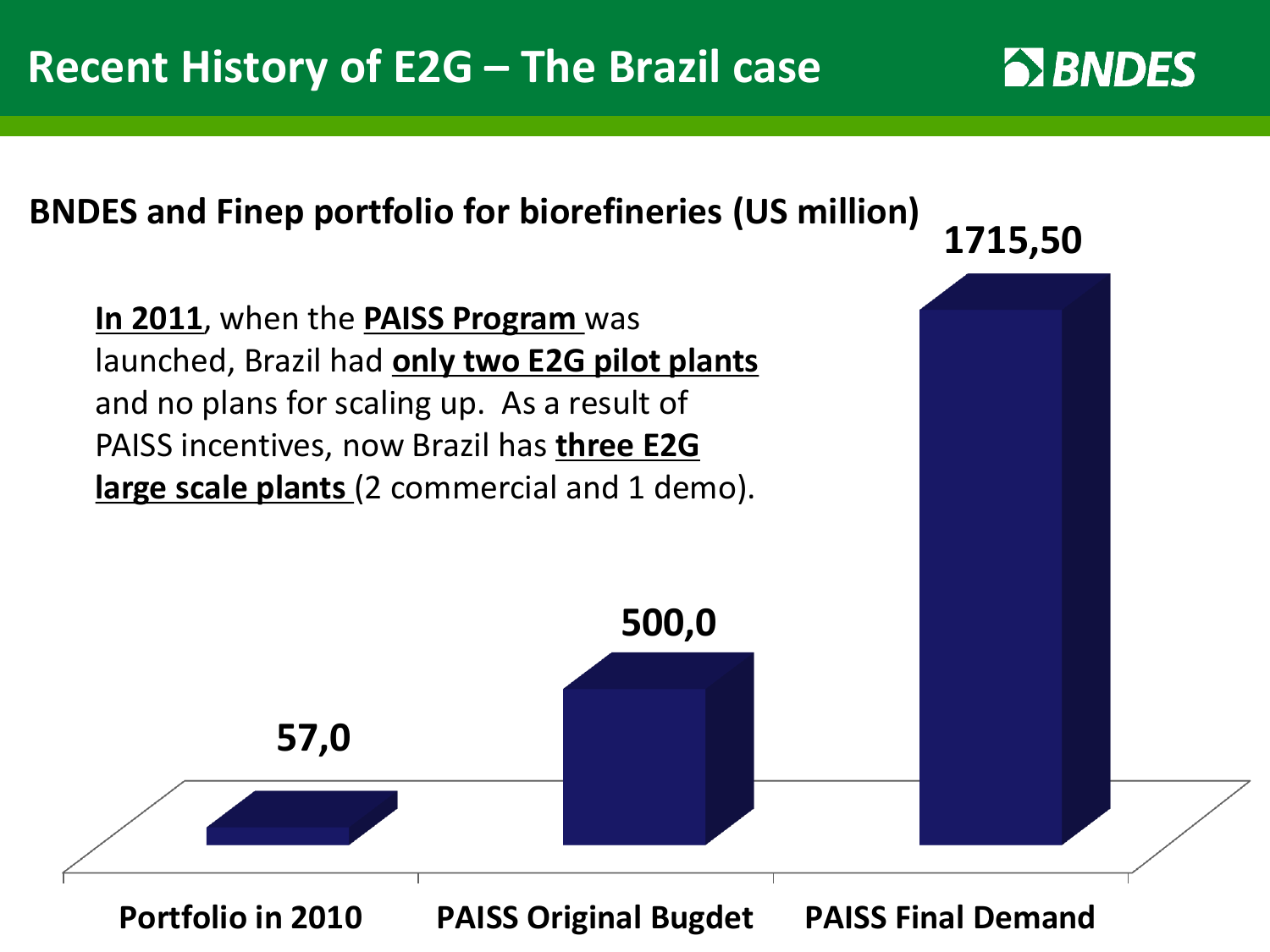#### **BNDES and Finep portfolio for biorefineries (US million)**

**In 2011**, when the **PAISS Program** was launched, Brazil had **only two E2G pilot plants** and no plans for scaling up. As a result of PAISS incentives, now Brazil has **three E2G large scale plants** (2 commercial and 1 demo).

**1715,50** 



**500,0**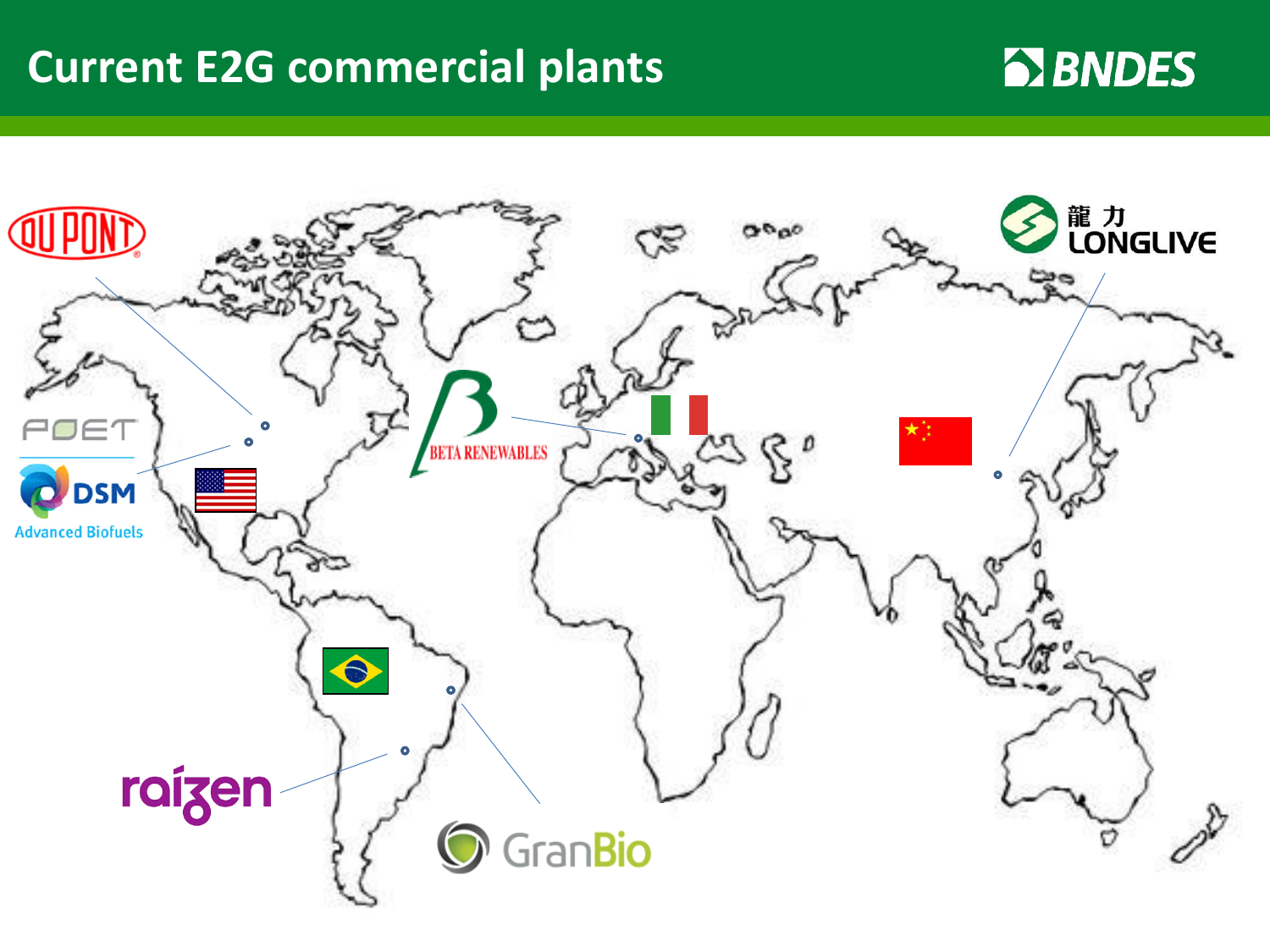### **Current E2G commercial plants**

### **EX BNDES**

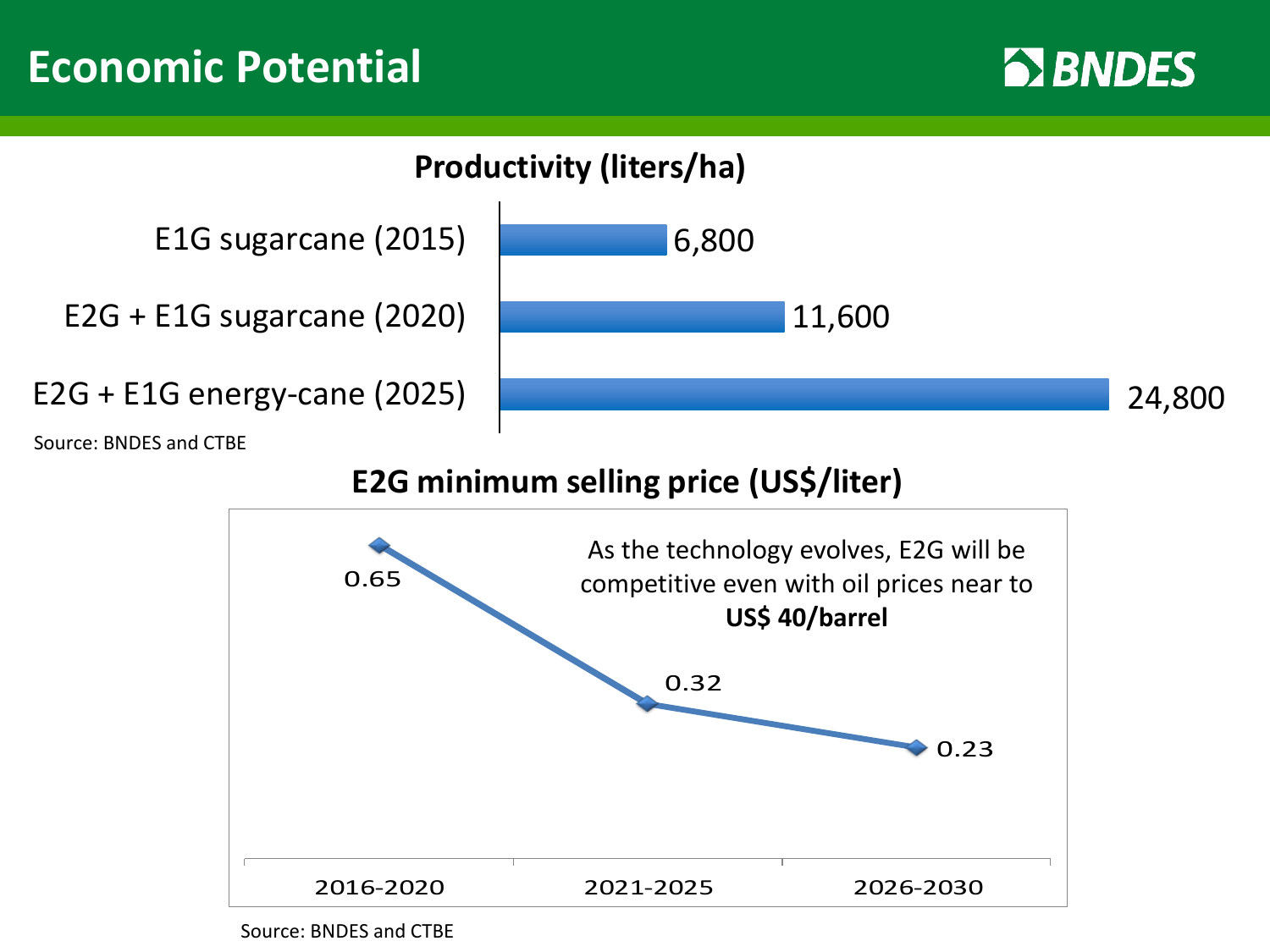### **Economic Potential** *LIVRO VERDES*





Source: BNDES and CTBE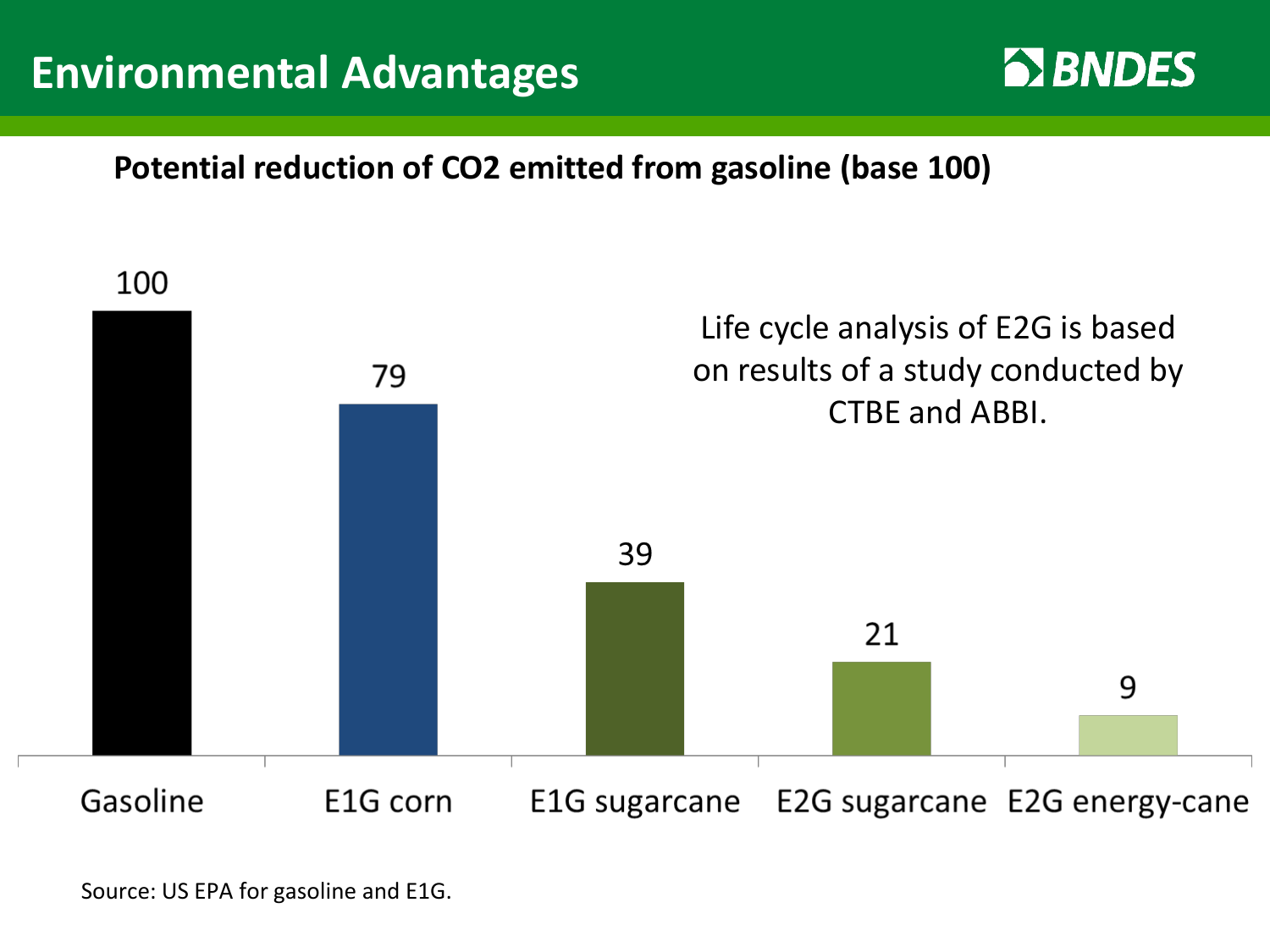### **Environmental Advantages Alle 2008 12 MILLES**



#### **Potential reduction of CO2 emitted from gasoline (base 100)**



Source: US EPA for gasoline and E1G.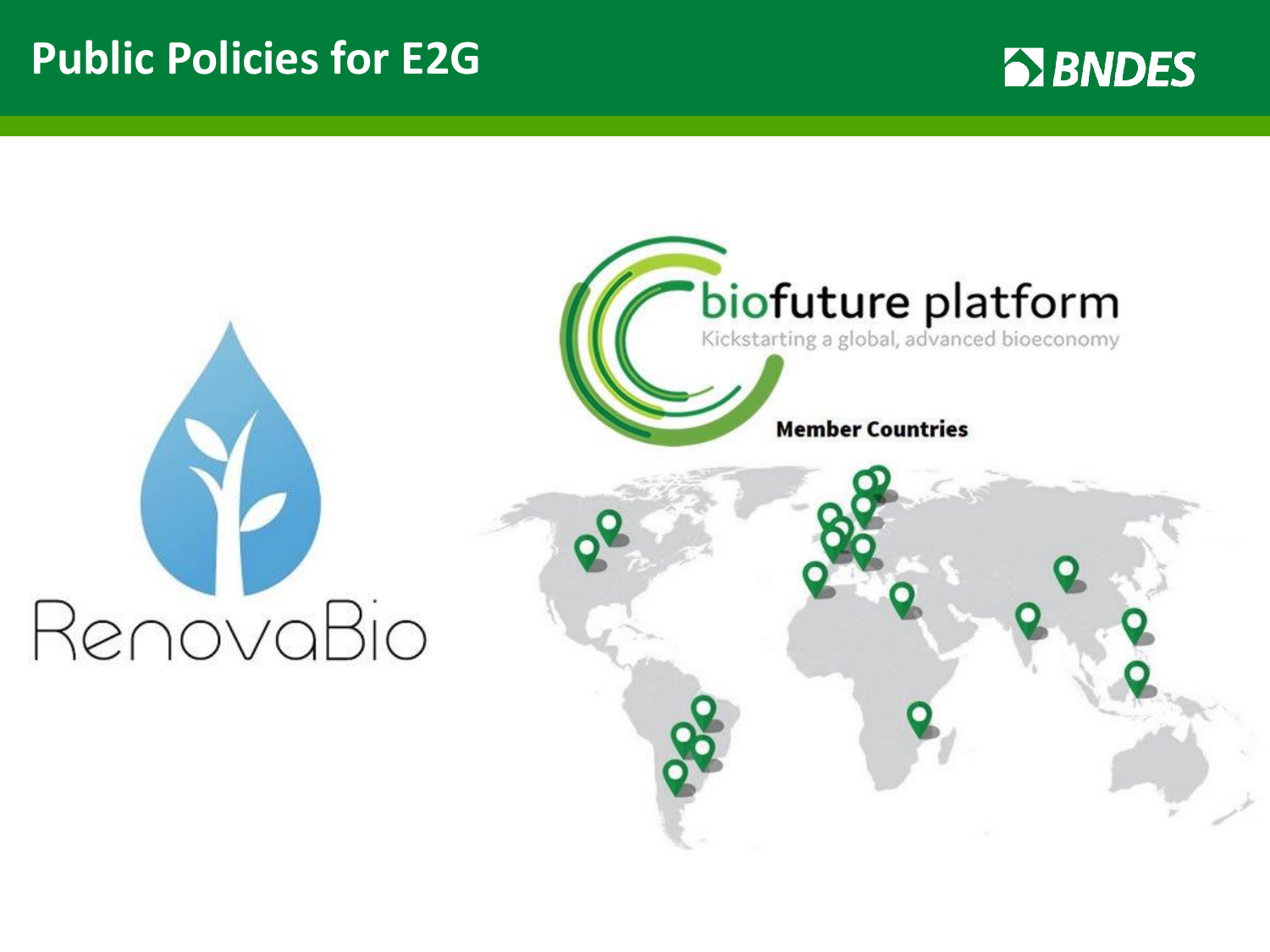### **Public Policies for E2G**